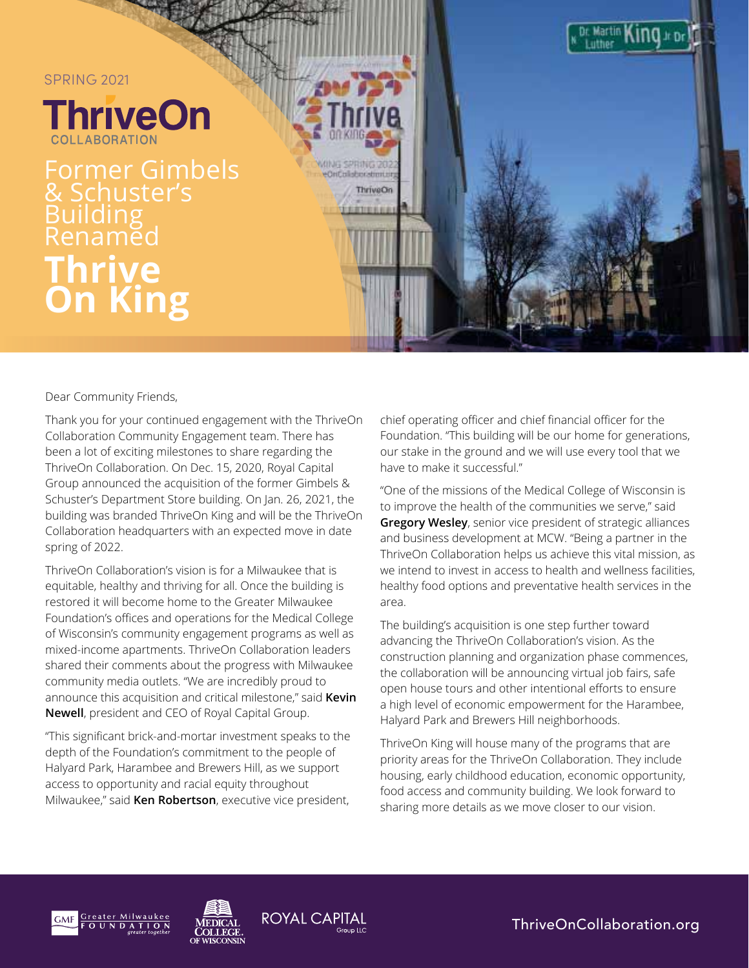

Dear Community Friends,

Thank you for your continued engagement with the ThriveOn Collaboration Community Engagement team. There has been a lot of exciting milestones to share regarding the ThriveOn Collaboration. On Dec. 15, 2020, Royal Capital Group announced the acquisition of the former Gimbels & Schuster's Department Store building. On Jan. 26, 2021, the building was branded ThriveOn King and will be the ThriveOn Collaboration headquarters with an expected move in date spring of 2022.

ThriveOn Collaboration's vision is for a Milwaukee that is equitable, healthy and thriving for all. Once the building is restored it will become home to the Greater Milwaukee Foundation's offices and operations for the Medical College of Wisconsin's community engagement programs as well as mixed-income apartments. ThriveOn Collaboration leaders shared their comments about the progress with Milwaukee community media outlets. "We are incredibly proud to announce this acquisition and critical milestone," said **Kevin Newell**, president and CEO of Royal Capital Group.

"This significant brick-and-mortar investment speaks to the depth of the Foundation's commitment to the people of Halyard Park, Harambee and Brewers Hill, as we support access to opportunity and racial equity throughout Milwaukee," said **Ken Robertson**, executive vice president,

chief operating officer and chief financial officer for the Foundation. "This building will be our home for generations, our stake in the ground and we will use every tool that we have to make it successful."

"One of the missions of the Medical College of Wisconsin is to improve the health of the communities we serve," said **Gregory Wesley**, senior vice president of strategic alliances and business development at MCW. "Being a partner in the ThriveOn Collaboration helps us achieve this vital mission, as we intend to invest in access to health and wellness facilities, healthy food options and preventative health services in the area.

The building's acquisition is one step further toward advancing the ThriveOn Collaboration's vision. As the construction planning and organization phase commences, the collaboration will be announcing virtual job fairs, safe open house tours and other intentional efforts to ensure a high level of economic empowerment for the Harambee, Halyard Park and Brewers Hill neighborhoods.

ThriveOn King will house many of the programs that are priority areas for the ThriveOn Collaboration. They include housing, early childhood education, economic opportunity, food access and community building. We look forward to sharing more details as we move closer to our vision.





**ROYAL CAPITAL** 

[ThriveOnCollaboration.org](https://thriveoncollaboration.org)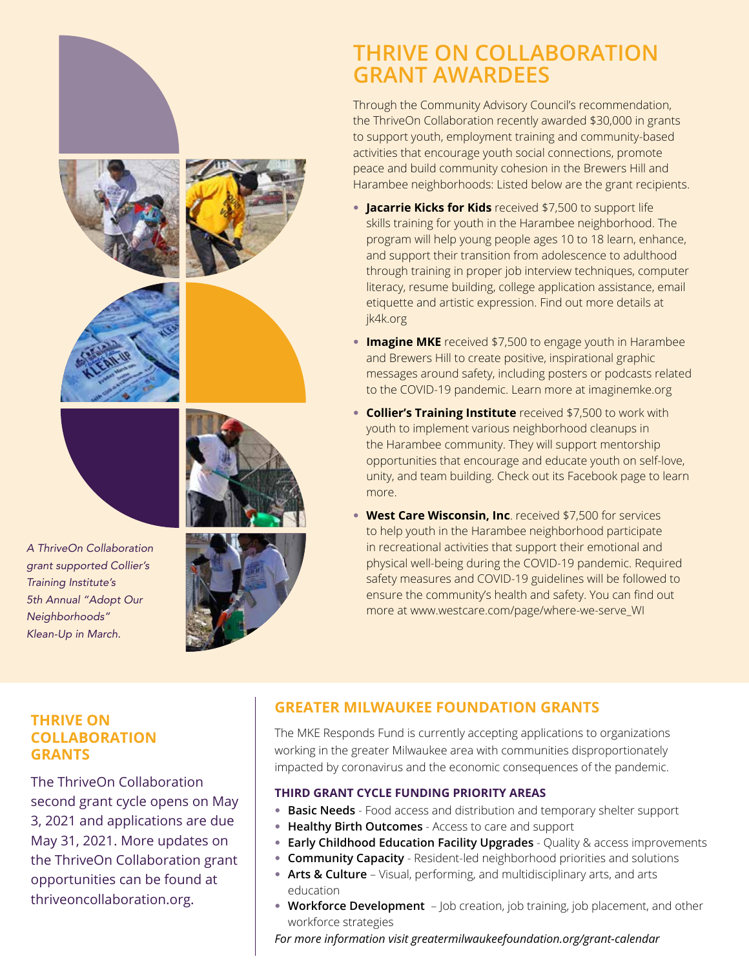# **THRIVE ON COLLABORATION GRANT AWARDEES**

Through the Community Advisory Council's recommendation, the ThriveOn Collaboration recently awarded \$30,000 in grants to support youth, employment training and community-based activities that encourage youth social connections, promote peace and build community cohesion in the Brewers Hill and Harambee neighborhoods: Listed below are the grant recipients.

- **Jacarrie Kicks for Kids** received \$7,500 to support life skills training for youth in the Harambee neighborhood. The program will help young people ages 10 to 18 learn, enhance, and support their transition from adolescence to adulthood through training in proper job interview techniques, computer literacy, resume building, college application assistance, email etiquette and artistic expression. Find out more details at [jk4k.org](https://www.jk4k.org)
- **Imagine MKE** received \$7,500 to engage youth in Harambee and Brewers Hill to create positive, inspirational graphic messages around safety, including posters or podcasts related to the COVID-19 pandemic. Learn more at [imaginemke.org](https://imaginemke.org)
- **Collier's Training Institute** received \$7,500 to work with youth to implement various neighborhood cleanups in the Harambee community. They will support mentorship opportunities that encourage and educate youth on self-love, unity, and team building. Check out its Facebook page to learn more.
- **West Care Wisconsin, Inc**. received \$7,500 for services to help youth in the Harambee neighborhood participate in recreational activities that support their emotional and physical well-being during the COVID-19 pandemic. Required safety measures and COVID-19 guidelines will be followed to ensure the community's health and safety. You can find out more at [www.westcare.com/page/where-we-serve\\_WI](https://www.westcare.com/page/where-we-serve_WI)

#### **THRIVE ON COLLABORATION GRANTS**

The ThriveOn Collaboration second grant cycle opens on May 3, 2021 and applications are due May 31, 2021. More updates on the ThriveOn Collaboration grant opportunities can be found at thriveoncollaboration.org.

### **GREATER MILWAUKEE FOUNDATION GRANTS**

The MKE Responds Fund is currently accepting applications to organizations working in the greater Milwaukee area with communities disproportionately impacted by coronavirus and the economic consequences of the pandemic.

#### **THIRD GRANT CYCLE FUNDING PRIORITY AREAS**

- **Basic Needs** Food access and distribution and temporary shelter support
- **Healthy Birth Outcomes** Access to care and support
- **Early Childhood Education Facility Upgrades** Quality & access improvements
- **Community Capacity** Resident-led neighborhood priorities and solutions
- **Arts & Culture** Visual, performing, and multidisciplinary arts, and arts education
- **Workforce Development** Job creation, job training, job placement, and other workforce strategies

*For more information visit [greatermilwaukeefoundation.org/grant-calendar](https://www.greatermilwaukeefoundation.org/grants/grant-seekers/grant-calendar/)*





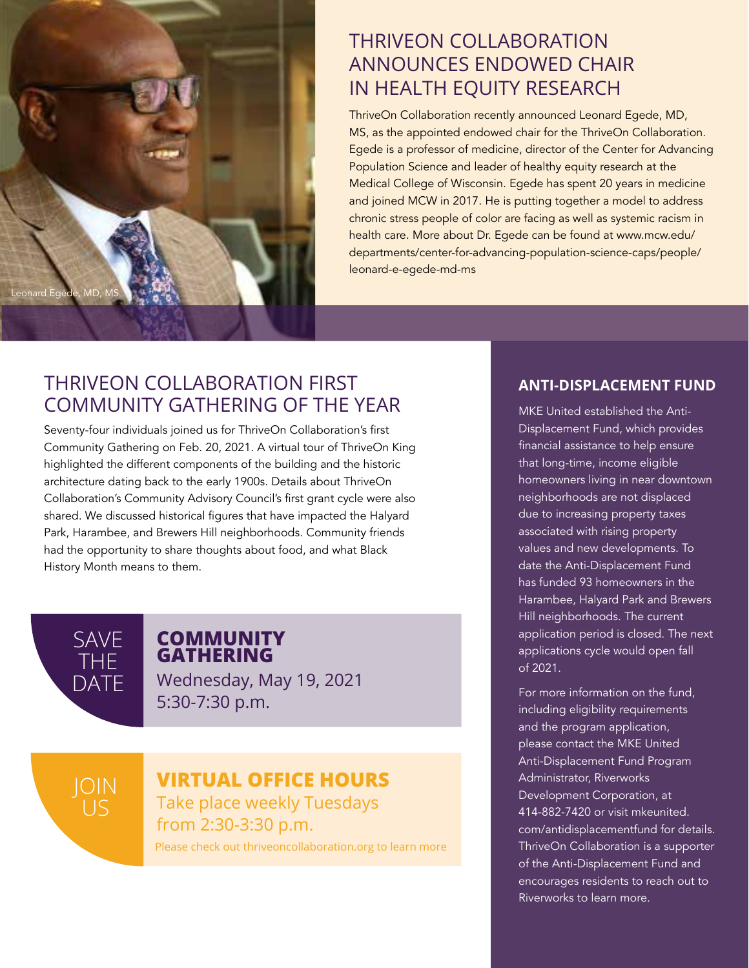

### THRIVEON COLLABORATION ANNOUNCES ENDOWED CHAIR IN HEALTH EQUITY RESEARCH

ThriveOn Collaboration recently announced Leonard Egede, MD, MS, as the appointed endowed chair for the ThriveOn Collaboration. Egede is a professor of medicine, director of the Center for Advancing Population Science and leader of healthy equity research at the Medical College of Wisconsin. Egede has spent 20 years in medicine and joined MCW in 2017. He is putting together a model to address chronic stress people of color are facing as well as systemic racism in health care. More about Dr. Egede can be found at [www.mcw.edu/](www.mcw.edu/departments/center-for-advancing-population-science-caps/people/leonard-e-egede-md-ms) [departments/center-for-advancing-population-science-caps/people/](www.mcw.edu/departments/center-for-advancing-population-science-caps/people/leonard-e-egede-md-ms) [leonard-e-egede-md-ms](www.mcw.edu/departments/center-for-advancing-population-science-caps/people/leonard-e-egede-md-ms)

## THRIVEON COLLABORATION FIRST COMMUNITY GATHERING OF THE YEAR

Seventy-four individuals joined us for ThriveOn Collaboration's first Community Gathering on Feb. 20, 2021. A virtual tour of ThriveOn King highlighted the different components of the building and the historic architecture dating back to the early 1900s. Details about ThriveOn Collaboration's Community Advisory Council's first grant cycle were also shared. We discussed historical figures that have impacted the Halyard Park, Harambee, and Brewers Hill neighborhoods. Community friends had the opportunity to share thoughts about food, and what Black History Month means to them.



JOIN

#### **COMMUNITY GATHERING**

Wednesday, May 19, 2021 5:30-7:30 p.m.

## **VIRTUAL OFFICE HOURS**

Take place weekly Tuesdays from 2:30-3:30 p.m. Please check out thriveoncollaboration.org to learn more

#### **ANTI-DISPLACEMENT FUND**

MKE United established the Anti-Displacement Fund, which provides financial assistance to help ensure that long-time, income eligible homeowners living in near downtown neighborhoods are not displaced due to increasing property taxes associated with rising property values and new developments. To date the Anti-Displacement Fund has funded 93 homeowners in the Harambee, Halyard Park and Brewers Hill neighborhoods. The current application period is closed. The next applications cycle would open fall of 2021.

For more information on the fund, including eligibility requirements and the program application, please contact the MKE United Anti-Displacement Fund Program Administrator, Riverworks Development Corporation, at 414-882-7420 or visit [mkeunited.](http://mkeunited.com/antidisplacementfund) [com/antidisplacementfund](http://mkeunited.com/antidisplacementfund) for details. ThriveOn Collaboration is a supporter of the Anti-Displacement Fund and encourages residents to reach out to Riverworks to learn more.